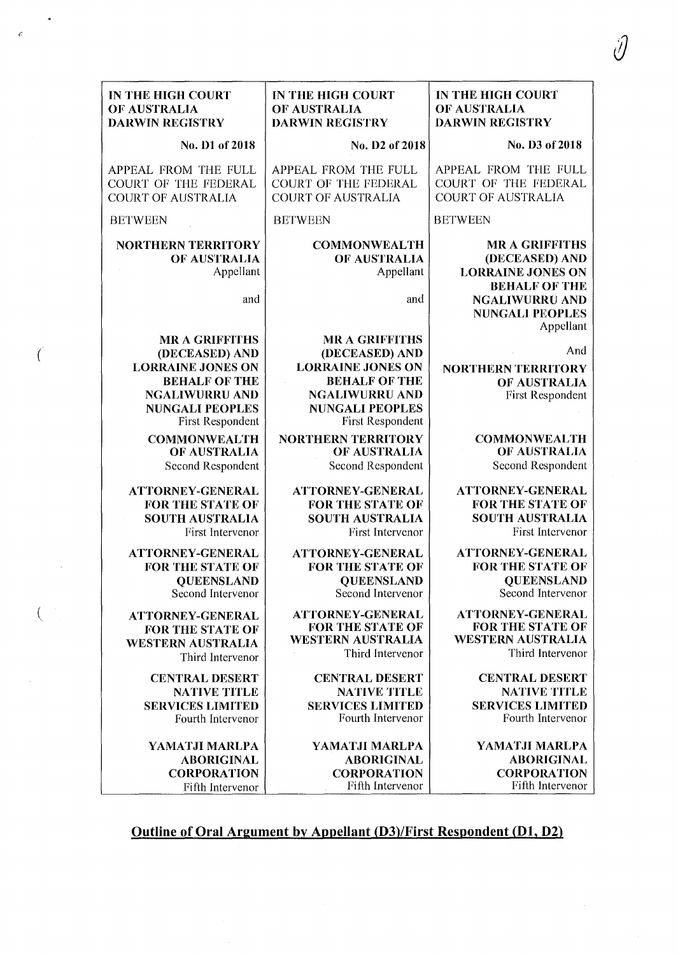|         | IN THE HIGH COURT                                                                                                                                                  | IN THE HIGH COURT                                                                                                                                                         | IN THE HIGH COURT                                                                           |
|---------|--------------------------------------------------------------------------------------------------------------------------------------------------------------------|---------------------------------------------------------------------------------------------------------------------------------------------------------------------------|---------------------------------------------------------------------------------------------|
|         | OF AUSTRALIA                                                                                                                                                       | OF AUSTRALIA                                                                                                                                                              | OF AUSTRALIA                                                                                |
|         | <b>DARWIN REGISTRY</b>                                                                                                                                             | <b>DARWIN REGISTRY</b>                                                                                                                                                    | <b>DARWIN REGISTRY</b>                                                                      |
|         | No. D1 of 2018                                                                                                                                                     | No. D2 of 2018                                                                                                                                                            | No. D3 of 2018                                                                              |
|         | APPEAL FROM THE FULL                                                                                                                                               | APPEAL FROM THE FULL                                                                                                                                                      | APPEAL FROM THE FULL                                                                        |
|         | COURT OF THE FEDERAL                                                                                                                                               | <b>COURT OF THE FEDERAL</b>                                                                                                                                               | COURT OF THE FEDERAL                                                                        |
|         | <b>COURT OF AUSTRALIA</b>                                                                                                                                          | <b>COURT OF AUSTRALIA</b>                                                                                                                                                 | <b>COURT OF AUSTRALIA</b>                                                                   |
|         | <b>BETWEEN</b>                                                                                                                                                     | <b>BETWEEN</b>                                                                                                                                                            | <b>BETWEEN</b>                                                                              |
|         | <b>NORTHERN TERRITORY</b><br>OF AUSTRALIA<br>Appellant                                                                                                             | <b>COMMONWEALTH</b><br>OF AUSTRALIA<br>Appellant                                                                                                                          | <b>MR A GRIFFITHS</b><br>(DECEASED) AND<br><b>LORRAINE JONES ON</b><br><b>BEHALF OF THE</b> |
|         | and                                                                                                                                                                | and                                                                                                                                                                       | <b>NGALIWURRU AND</b><br><b>NUNGALI PEOPLES</b><br>Appellant                                |
| $\big($ | <b>MR A GRIFFITHS</b><br>(DECEASED) AND<br><b>LORRAINE JONES ON</b><br><b>BEHALF OF THE</b><br><b>NGALIWURRU AND</b><br><b>NUNGALI PEOPLES</b><br>First Respondent | <b>MR A GRIFFITHS</b><br>(DECEASED) AND<br><b>LORRAINE JONES ON</b><br><b>BEHALF OF THE</b><br><b>NGALIWURRU AND</b><br><b>NUNGALI PEOPLES</b><br><b>First Respondent</b> | And<br><b>NORTHERN TERRITORY</b><br>OF AUSTRALIA<br><b>First Respondent</b>                 |
|         | <b>COMMONWEALTH</b>                                                                                                                                                | <b>NORTHERN TERRITORY</b>                                                                                                                                                 | <b>COMMONWEALTH</b>                                                                         |
|         | OF AUSTRALIA                                                                                                                                                       | OF AUSTRALIA                                                                                                                                                              | OF AUSTRALIA                                                                                |
|         | Second Respondent                                                                                                                                                  | Second Respondent                                                                                                                                                         | Second Respondent                                                                           |
|         | <b>ATTORNEY-GENERAL</b>                                                                                                                                            | ATTORNEY-GENERAL                                                                                                                                                          | <b>ATTORNEY-GENERAL</b>                                                                     |
|         | <b>FOR THE STATE OF</b>                                                                                                                                            | <b>FOR THE STATE OF</b>                                                                                                                                                   | <b>FOR THE STATE OF</b>                                                                     |
|         | <b>SOUTH AUSTRALIA</b>                                                                                                                                             | <b>SOUTH AUSTRALIA</b>                                                                                                                                                    | <b>SOUTH AUSTRALIA</b>                                                                      |
|         | First Intervenor                                                                                                                                                   | First Intervenor                                                                                                                                                          | First Intervenor                                                                            |
|         | ATTORNEY-GENERAL                                                                                                                                                   | <b>ATTORNEY-GENERAL</b>                                                                                                                                                   | <b>ATTORNEY-GENERAL</b>                                                                     |
|         | <b>FOR THE STATE OF</b>                                                                                                                                            | <b>FOR THE STATE OF</b>                                                                                                                                                   | <b>FOR THE STATE OF</b>                                                                     |
|         | <b>QUEENSLAND</b>                                                                                                                                                  | <b>QUEENSLAND</b>                                                                                                                                                         | <b>QUEENSLAND</b>                                                                           |
|         | Second Intervenor                                                                                                                                                  | Second Intervenor                                                                                                                                                         | Second Intervenor                                                                           |
|         | <b>ATTORNEY-GENERAL</b>                                                                                                                                            | ATTORNEY-GENERAL                                                                                                                                                          | <b>ATTORNEY-GENERAL</b>                                                                     |
|         | <b>FOR THE STATE OF</b>                                                                                                                                            | <b>FOR THE STATE OF</b>                                                                                                                                                   | <b>FOR THE STATE OF</b>                                                                     |
|         | <b>WESTERN AUSTRALIA</b>                                                                                                                                           | <b>WESTERN AUSTRALIA</b>                                                                                                                                                  | <b>WESTERN AUSTRALIA</b>                                                                    |
|         | Third Intervenor                                                                                                                                                   | Third Intervenor                                                                                                                                                          | Third Intervenor                                                                            |
|         | <b>CENTRAL DESERT</b>                                                                                                                                              | <b>CENTRAL DESERT</b>                                                                                                                                                     | <b>CENTRAL DESERT</b>                                                                       |
|         | <b>NATIVE TITLE</b>                                                                                                                                                | <b>NATIVE TITLE</b>                                                                                                                                                       | <b>NATIVE TITLE</b>                                                                         |
|         | <b>SERVICES LIMITED</b>                                                                                                                                            | <b>SERVICES LIMITED</b>                                                                                                                                                   | <b>SERVICES LIMITED</b>                                                                     |
|         | Fourth Intervenor                                                                                                                                                  | Fourth Intervenor                                                                                                                                                         | Fourth Intervenor                                                                           |
|         | YAMATJI MARLPA                                                                                                                                                     | YAMATJI MARLPA                                                                                                                                                            | YAMATJI MARLPA                                                                              |
|         | <b>ABORIGINAL</b>                                                                                                                                                  | <b>ABORIGINAL</b>                                                                                                                                                         | <b>ABORIGINAL</b>                                                                           |
|         | <b>CORPORATION</b>                                                                                                                                                 | <b>CORPORATION</b>                                                                                                                                                        | <b>CORPORATION</b>                                                                          |
|         | Fifth Intervenor                                                                                                                                                   | Fifth Intervenor                                                                                                                                                          | Fifth Intervenor                                                                            |

ίŊ

## Outline of Oral Argument by Appellant (D3)/First Respondent (Dl, D2)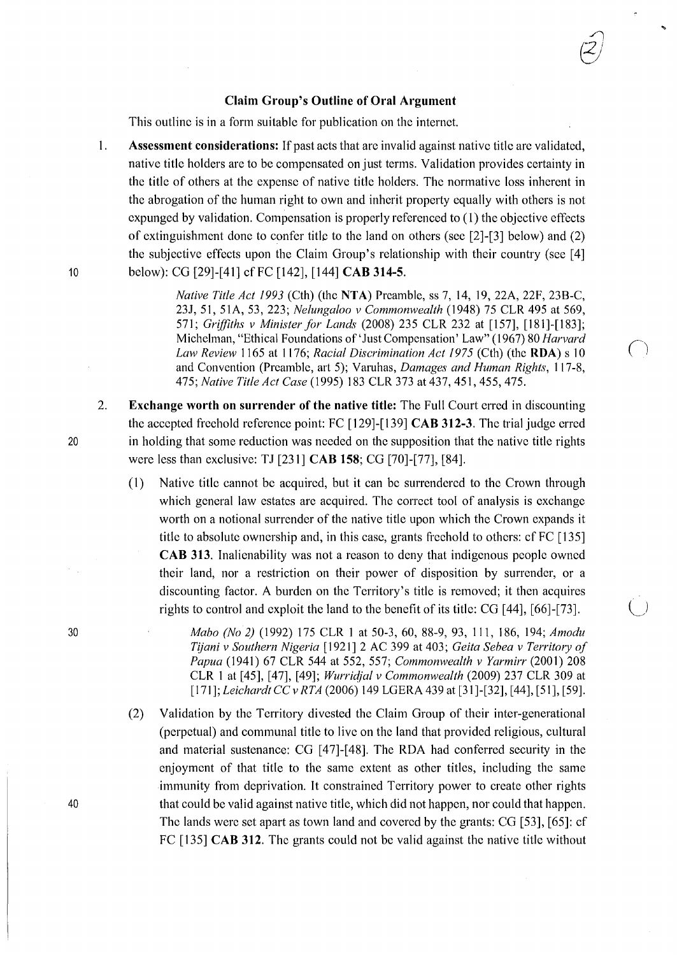## **Claim Group's Outline of Oral Argument**

 $\bigcap$  $\overline{z}$ 

 $\bigcup$ 

This outline is in a form suitable for publication on the internct.

I. **Assessment considerations:** If past acts that are invalid against native title are validated, native title holders are to be compensated on just terms. Validation provides certainty in the title of others at the expense of native title holders. The normative loss inherent in the abrogation of the human right to own and inherit property equally with others is not expunged by validation. Compensation is properly referenced to ( 1) the objective effects of extinguishment done to confer title to the land on others (see [2]-[3] below) and (2) the subjective effects upon the Claim Group's relationship with their country (see [4] 10 below): CG [29]-[41] cfFC [142], [144] **CAB 314-5.** 

> *Native Title Act 1993* (Cth) (the **NTA)** Preamble, ss 7, 14, 19, 22A, 22F, 238-C, *231,* 51, 51A, 53, 223; *Nelungaloo v Commonwealth* (1948) 75 CLR 495 at 569, 571; *Griffiths v Minister for Lands* (2008) 235 CLR 232 at [157], [181]-[183]; Michelman, "Ethical Foundations of 'Just Compensation' Law" (1967) 80 *Harvard Law Review* 1165 at 1176; *Racial Discrimination Act 1975* (Cth) (the **RDA)** s 10 \ <sup>I</sup> and Convention (Preamble, art 5); Varuhas, *Damages and Human Rights,* 117-8, 475; *Native Title Act Case* (1995) 183 CLR 373 at437, 451,455,475.

- 2. **Exchange worth on surrender of the native title:** The Full Court erred in discounting the accepted freehold reference point: FC [129]-[139] **CAB 312-3.** The trial judge erred in holding that some reduction was needed on the supposition that the native title rights were less than exclusive: TJ [231] **CAB 158;** CG [70]-[77], [84].
	- (1) Native title cannot be acquired, but it can be surrendered to the Crown through which general law estates are acquired. The correct tool of analysis is exchange worth on a notional surrender of the native title upon which the Crown expands it title to absolute ownership and, in this case, grants freehold to others: cf FC [135] **CAB 313.** Inalienability was not a reason to deny that indigenous people owned their land, nor a restriction on their power of disposition by surrender, or a discounting factor. A burden on the Territory's title is removed; it then acquires rights to control and exploit the land to the benefit of its title: CG [ 44], [66]-[73].
		- *Mabo (No 2)* (1992) 175 CLR 1 at 50-3,60, 88-9, 93, 111, 186, 194; *Amodu T?jani v Southern Nigeria* [ 1921] 2 AC 399 at 403; *Geita Sebea v Territory of Papua* (1941) 67 CLR 544 at 552, 557; *Commonwealth v Yarmirr* (2001) 208 CLR 1 at [45], [47], [49]; *Wurric{jal v Commonwealth* (2009) 237 CLR 309 at [171 ]; *Leichardt* CC *v RTA* (2006) 149 LGERA 439 at [31 ]-[32], [ 44], [51], [59].
	- (2) Validation by the Territory divested the Claim Group of their inter-generational (perpetual) and communal title to live on the land that provided religious, cultural and material sustenance: CG [47]-[48]. The RDA had conferred security in the enjoyment of that title to the same extent as other titles, including the same immunity from deprivation. It constrained Territory power to create other rights that could be valid against native title, which did not happen, nor could that happen. The lands were set apart as town land and covered by the grants: CG [53], [65]: cf FC [135] **CAB 312.** The grants could not be valid against the native title without

20

30

40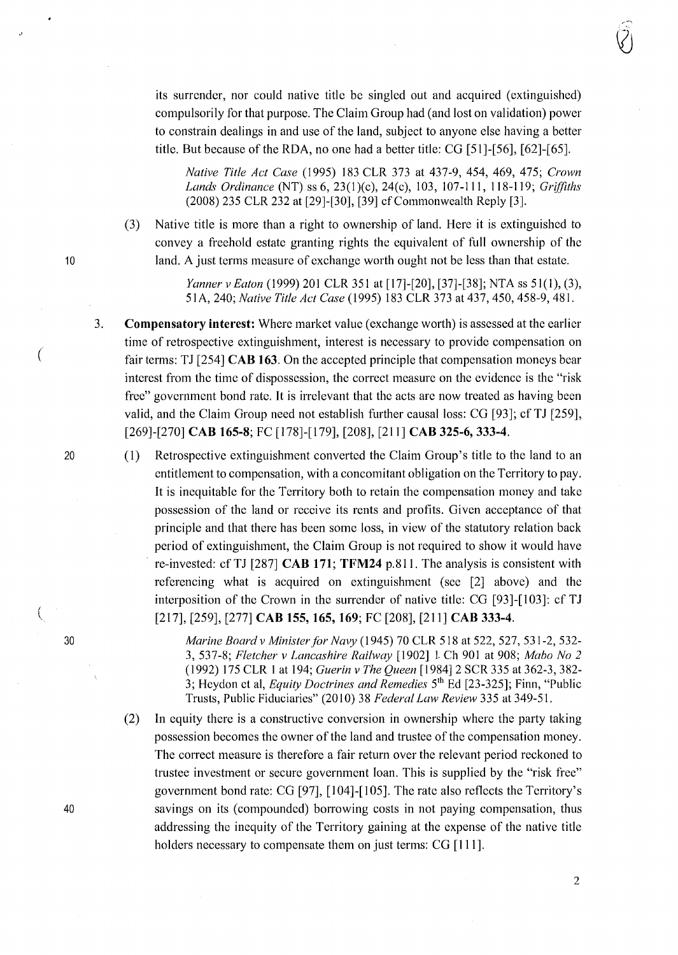its surrender, nor could native title be singled out and acquired (extinguished) compulsorily for that purpose. The Claim Group had (and lost on validation) power to constrain dealings in and use of the land, subject to anyone else having a better title. But because of the RDA, no one had a better title: CG [51)-[56], [62]-[65].

*Native Title Act Case* (1995) 183 CLR 373 at 437-9, 454, 469, 475; *Crown Lands Ordinance* (NT) ss 6, 23(l)(c), 24(c), 103, 107-lll, 118-119; *Griffiths*  (2008) 235 CLR 232 at [29]-[30], [39] cf Commonwealth Reply [3].

(3) Native title is more than a right to ownership of land. Here it is extinguished to convey a freehold estate granting rights the equivalent of full ownership of the 10 land. A just terms measure of exchange worth ought not be less than that estate.

> *Yanner v Eaton* (1999) 201 CLR 351 at [17]-[20], [37]-[38]; NTA ss 51(1), (3), 51 A, 240; *Native Title Act Case* ( 1995) 183 CLR 373 at 437, 450, 458-9, 481.

**Compensatory interest:** Where market value (exchange worth) is assessed at the earlier time of retrospective extinguishment, interest is necessary to provide compensation on fair terms: TJ [254] **CAB 163.** On the accepted principle that compensation moneys bear interest from the time of dispossession, the correct measure on the evidence is the "risk free" government bond rate. It is irrelevant that the acts arc now treated as having been valid, and the Claim Group need not establish further causal loss: CG [93]; cf TJ [259], [269]-[270] **CAB 165-8;** FC [178]-[179], [208), [211] **CAB 325-6,333-4.** 

20 (1) Retrospective extinguishment converted the Claim Group's title to the land to an entitlement to compensation, with a concomitant obligation on the Territory to pay. It is inequitable for the Territory both to retain the compensation money and take possession of the land or receive its rents and profits. Given acceptance of that principle and that there has been some loss, in view of the statutory relation back period of extinguishment, the Claim Group is not required to show it would have re-invested: cf TJ [287] **CAB 171; TFM24** p.811. The analysis is consistent with referencing what is acquired on extinguishment (see [2] above) and the interposition of the Crown in the surrender of native title:  $CG$  [93] $-$ [103]: cf TJ [217], [259], [277] **CAB 155, 165, 169;** FC [208), [211] **CAB 333-4.** 

> *Marine Board v Minister for Navy* (1945) 70 CLR 518 at 522, 527, 531-2, 532- 3, 537-8; *Fletcher v Lancashire Railway* [1902] 1. Ch 901 at 908; *Mabo No 2*  (1992) 175 CLR l at 194; *Guerin v The Queen* [1984] 2 SCR 335 at 362-3, 382- 3; Hcydon et al, *Equity Doctrines and Remedies* 5th Ed [23-325]; Finn, "Public Trusts, Public Fiduciaries" (2010) 38 Federal Law Review 335 at 349-51.

(2) In equity there is a constructive conversion in ownership where the party taking possession becomes the owner of the land and trustee of the compensation money. The correct measure is therefore a fair return over the relevant period reckoned to trustee investment or secure government loan. This is supplied by the "risk free" government bond rate: CG [97], [104]-[105]. The rate also reflects the Territory's savings on its (compounded) borrowing costs in not paying compensation, thus addressing the inequity of the Territory gaining at the expense of the native title holders necessary to compensate them on just terms: CG [111].

3.

(

,,

30

(

40